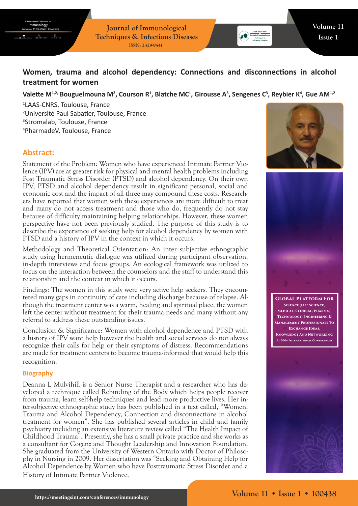**Journal of Immunological Techniques & Infectious Diseases ISSN: 2329-9541**



# **Women, trauma and alcohol dependency: Connections and disconnections in alcohol treatment for women**

## Valette M<sup>1,2,</sup> Bouguelmouna M<sup>2</sup>, Courson R<sup>1</sup>, Blatche MC<sup>1</sup>, Girousse A<sup>3</sup>, Sengenes C<sup>3</sup>, Reybier K<sup>4</sup>, Gue AM<sup>1,2</sup>

 LAAS-CNRS, Toulouse, France Université Paul Sabatier, Toulouse, France Stromalab, Toulouse, France PharmadeV, Toulouse, France

# **Abstract:**

Statement of the Problem: Women who have experienced Intimate Partner Violence (IPV) are at greater risk for physical and mental health problems including Post Traumatic Stress Disorder (PTSD) and alcohol dependency. On their own IPV, PTSD and alcohol dependency result in significant personal, social and economic cost and the impact of all three may compound these costs. Researchers have reported that women with these experiences are more difficult to treat and many do not access treatment and those who do, frequently do not stay because of difficulty maintaining helping relationships. However, these women perspective have not been previously studied. The purpose of this study is to describe the experience of seeking help for alcohol dependency by women with PTSD and a history of IPV in the context in which it occurs.

Methodology and Theoretical Orientation: An inter subjective ethnographic study using hermeneutic dialogue was utilized during participant observation, in-depth interviews and focus groups. An ecological framework was utilized to focus on the interaction between the counselors and the staff to understand this relationship and the context in which it occurs.

Findings: The women in this study were very active help seekers. They encountered many gaps in continuity of care including discharge because of relapse. Although the treatment center was a warm, healing and spiritual place, the women left the center without treatment for their trauma needs and many without any referral to address these outstanding issues.

Conclusion & Significance: Women with alcohol dependence and PTSD with a history of IPV want help however the health and social services do not always recognize their calls for help or their symptoms of distress. Recommendations are made for treatment centers to become trauma-informed that would help this recognition.

#### **Biography**

Deanna L Mulvihill is a Senior Nurse Therapist and a researcher who has developed a technique called Rebinding of the Body which helps people recover from trauma, learn self-help techniques and lead more productive lives. Her intersubjective ethnographic study has been published in a text called, "Women, Trauma and Alcohol Dependency, Connection and disconnections in alcohol treatment for women". She has published several articles in child and family psychiatry including an extensive literature review called "The Health Impact of Childhood Trauma". Presently, she has a small private practice and she works as a consultant for Cogenz and Thought Leadership and Innovation Foundation. She graduated from the University of Western Ontario with Doctor of Philosophy in Nursing in 2009. Her dissertation was "Seeking and Obtaining Help for Alcohol Dependence by Women who have Posttraumatic Stress Disorder and a History of Intimate Partner Violence.





**Global Platform For Science (Life Science, Medical, Clinical, Pharma), Technology, Engineering & Management Professionals To Exchange Ideas, Knowledge And Networking At 300+ International Conferences**